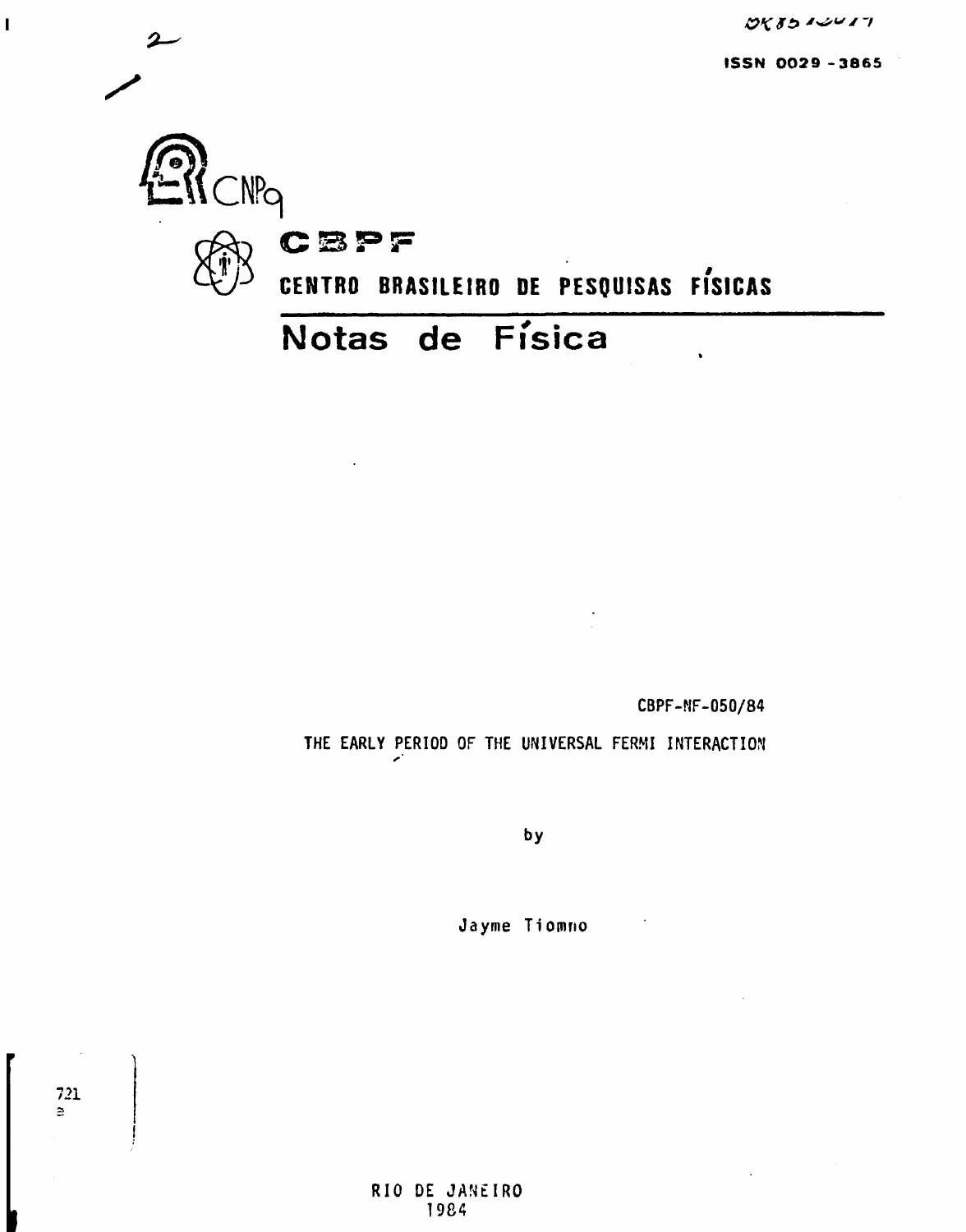**ISSN 0029-3865**



**CBPF-NF-050/84**

**THE EARLY PERIOD OF THE UNIVERSAL FERMI INTERACTION**

by

**Jayme Tiomno**

 $\frac{721}{5}$ 

 $\mathbf{I}$ 

 $\mathbf 2$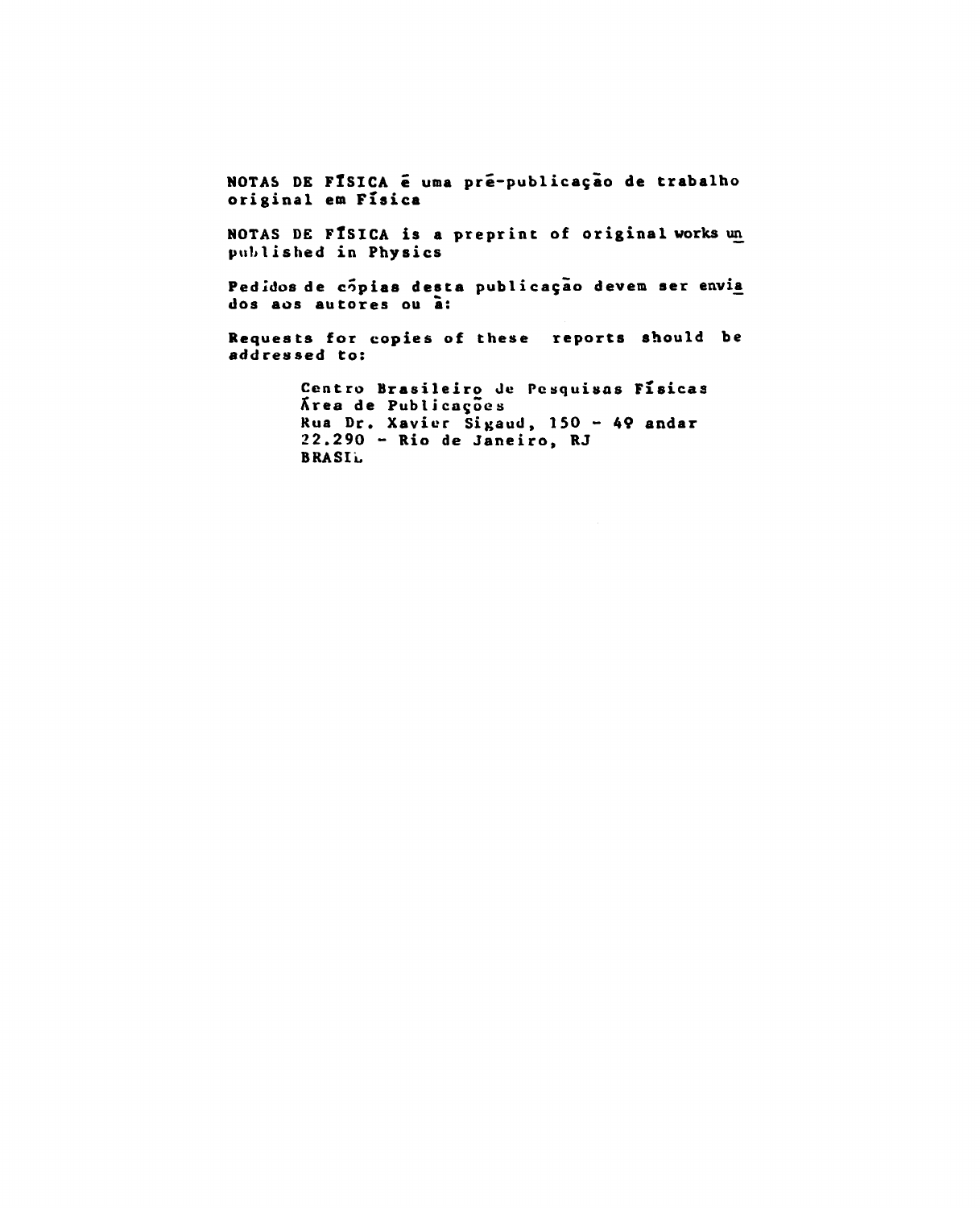**NOTAS DE FlSICA ê uma pré-publicaçao de trabalho original em Física**

**NOTAS DE FÍSICA is a preprint of original works un published in Physics**

Pedidos de cópias desta publicação devem ser envia **dos aos autores ou ã:**

**Requests for copies of these reports should be addressed to:**

> **Centro Brasileiro de Pesquisas Físicas Xrea de Publicações Rua Dr. Xavier Si^aud, 150 - 49 andar 22.290 - Rio de Janeiro, RJ BRASIu**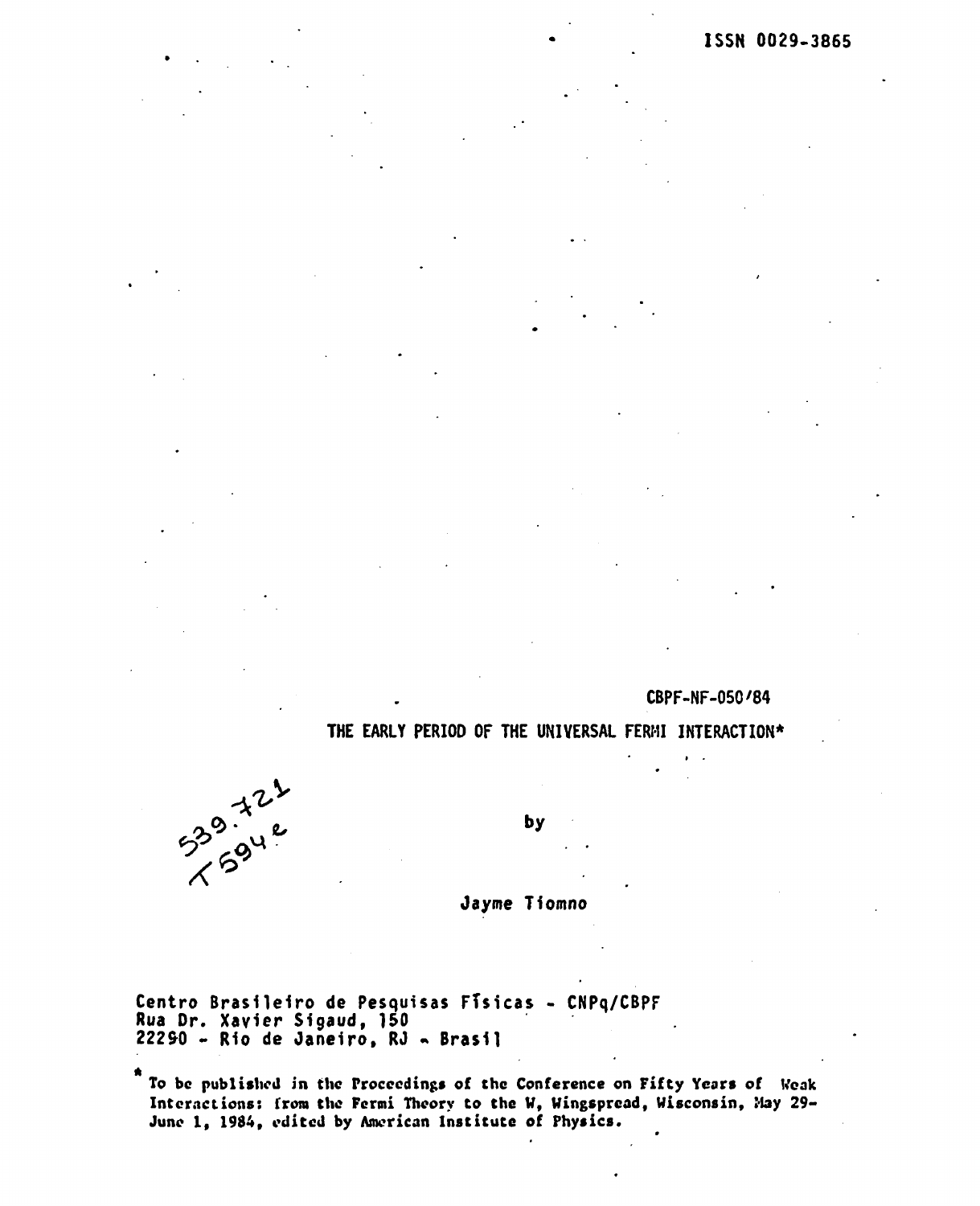**CBPF-NF-050'84**

**THE EARLY PERIOD OF THE UNIVERSAL FERMI INTERACTION\***



by

**Jayme Tiomno**

**Centro Brasileiro de Pesquisas Físicas - CNPq/CBPF Rua Dr. Xavier Sigaud, 150 22290 - Rio de Janeiro, RJ - Brasil**

**To be published in the Proceedings of the Conference on Fifty Years of Weak Interactions: from the Fermi Theory to the W, Wingsprcad, Wisconsin, May 29- June 1, 1984, edited by American Institute of Physics.**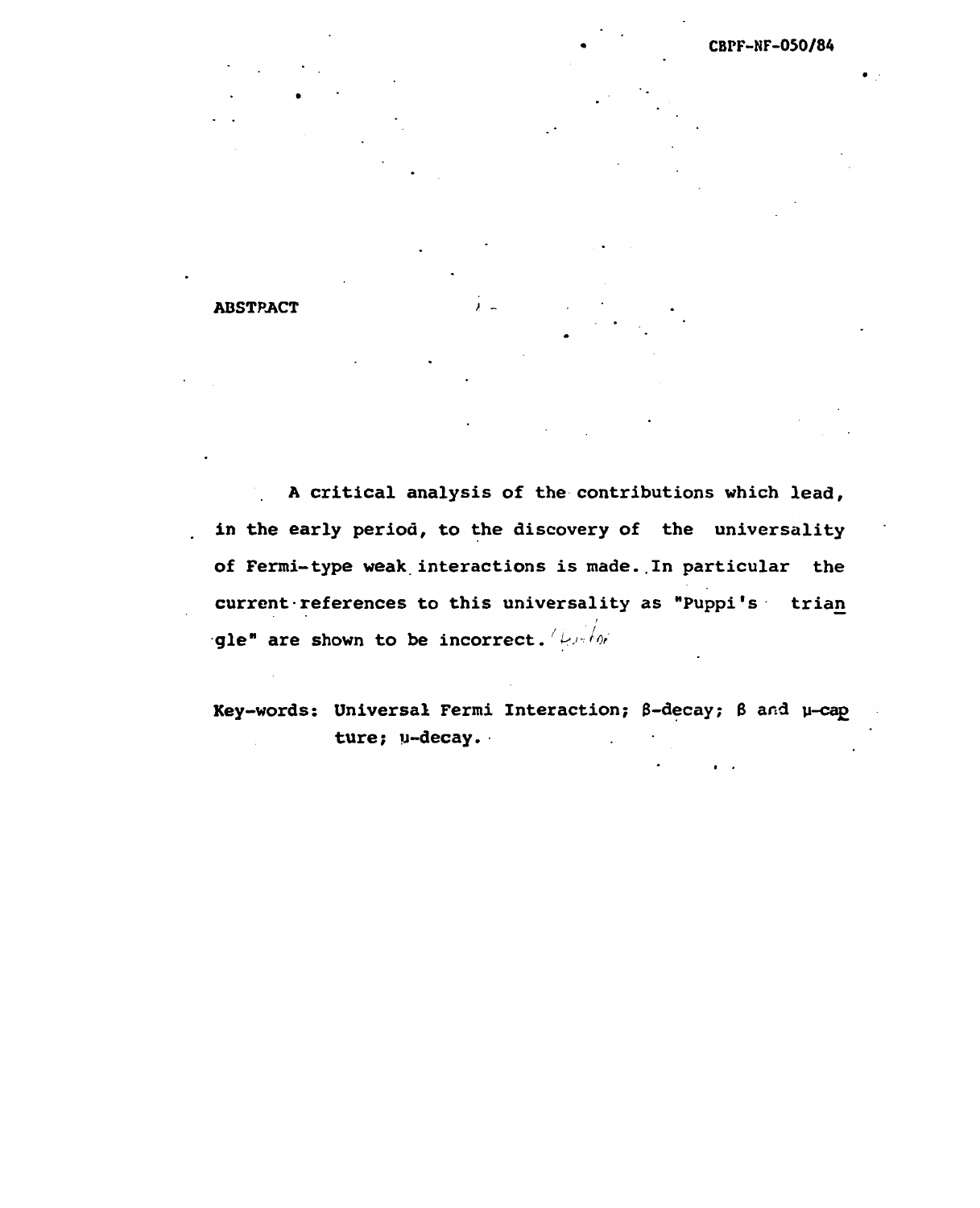## **ABSTPACT** *t* **-**

**A critical analysis of the contributions which lead, in the early period, to the discovery of the universality of Fermi-type weak interactions is made..In particular the current•references to this universality as "Puppi's trian gle"** are shown to be incorrect.<sup>*I*</sup>E- $\frac{1}{2}$ 

Key-words: Universal Fermi Interaction;  $\beta$ -decay;  $\beta$  and  $\mu$ -cap **ture; y-decay.**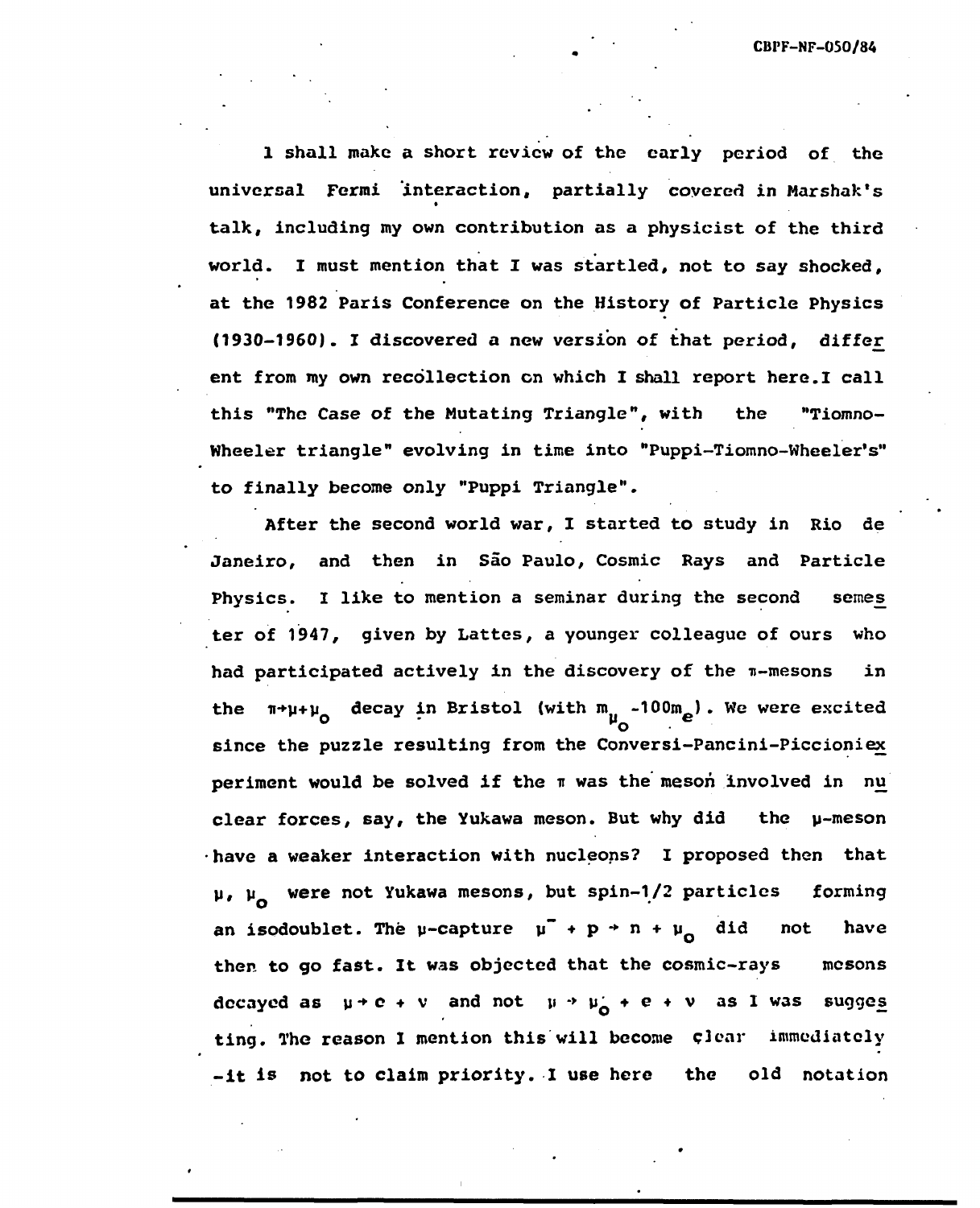1 shall make a short review of the early period of the universal Fermi interaction, partially covered in Marshak's talk, including my own contribution as a physicist of the third world. I must mention that I was startled, not to say shocked, at the 1982 Paris Conference on the History of Particle Physics (1930-1960). I discovered a new version of that period, differ ent from my own recollection en which I shall report here.I call this "The Case of the Mutating Triangle", with the "Tiomno-Wheeler triangle" evolving in time into "Puppi-Tiomno-Wheeler's" to finally become only "Puppi Triangle".

After the second world war, I started to study in Rio de Janeiro, and then in São Paulo, Cosmic Rays and Particle Physics. I like to mention a seminar during the second semes ter of 1947, given by Lattes, a younger colleague of ours who had participated actively in the discovery of the  $n-$ mesons in the  $\pi^+ \mu^+ \mu_0$  decay in Bristol (with  $m_{\mu}$  -100m<sub>e</sub>). We were excited since the puzzle resulting from the Conversi-Pancini-Piccioniex periment would be solved if the  $\pi$  was the meson involved in nu clear forces, say, the Yukawa meson. But why did the  $\mu$ -meson •have a weaker interaction with nucleons? I proposed then that  $\mu$ ,  $\mu$  were not Yukawa mesons, but spin-1/2 particles forming an isodoublet. The  $\mu$ -capture  $\mu$  + p + n +  $\mu$  did not have then to go fast. It was objected that the cosmic-rays mesons decayed as  $\mu + c + v$  and not  $\mu \rightarrow \mu'_{0} + e + v$  as I was sugges ting. The reason I mention this will become clear immediately -it is not to claim priority. I use here the old notation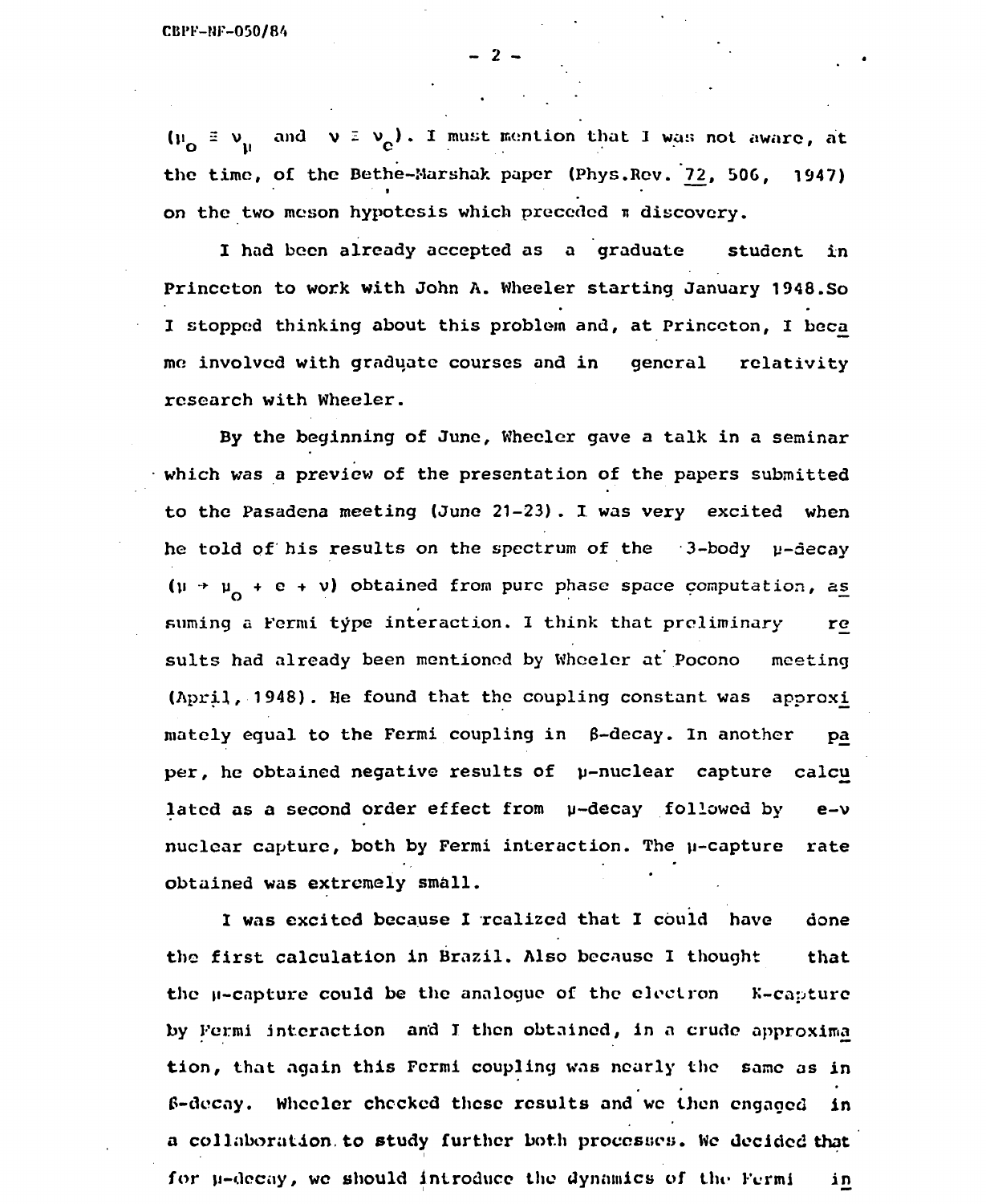$(\mu_{\Omega} \equiv \nu_{\rm n}$  and  $\nu \equiv \nu_{\rm e})$ . I must mention that I was not aware, at the time, of the Bethe-Marshak paper (Phys.Rev. 72, 506, 1947) on the two meson hypotesis which preceded  $\pi$  discovery.

 $2$  -

I had been already accepted as a graduate student in Princeton to work with John A. Wheeler starting January 1948.So I stopped thinking about this problem and, at Princeton, I beca me involved with graduate courses and in general relativity research with Wheeler.

By the beginning of June, Wheeler gave a talk in a seminar which was a preview of the presentation of the papers submitted to the Pasadena meeting (June 21-23). I was very excited when he told of his results on the spectrum of the  $-3$ -body  $\mu$ -decay  $(\mu + \mu_{0} + e + \nu)$  obtained from pure phase space computation, as suming a Fermi type interaction. I think that preliminary re sults had already been mentioned by Wheeler at Pocono meeting (April, 1948). He found that the coupling constant was approxi mately equal to the Fermi coupling in  $\beta$ -decay. In another pa per, he obtained negative results of p-nuclear capture calcu lated as a second order effect from  $\mu$ -decay followed by  $e-\nu$ nuclear capture, both by Fermi interaction. The u-capture rate nuclear capture, both by Fermi interaction. The u-capture rate  $\mathcal{L}$  is the u-capture rate rate  $\mathcal{L}$ 

I was excited because I realized that I could have done the first calculation in Brazil. Also because I thought that the  $\mu$ -capture could be the analogue of the electron  $K$ -capture by Fermi interaction and I then obtained, in a crude approxima tion, that again this Fermi coupling was nearly the same as in  $\beta$ -decay. Wheeler checked these results and we then engaged in a collaboration to study further both processes. We decided that for u-decay, we should introduce the dynamics of the Fermi in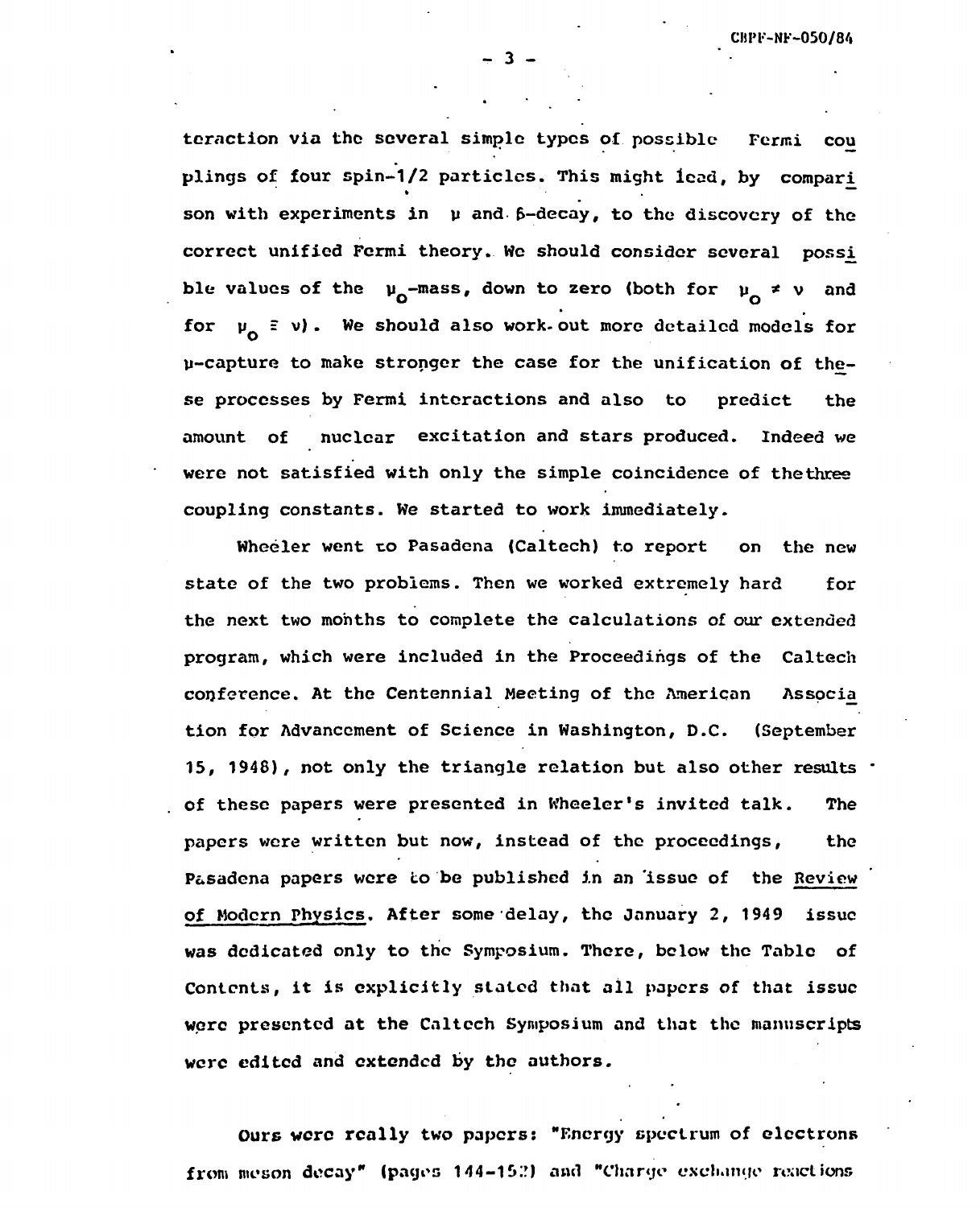tcrnction via tho several simple types of possible Fermi cou plings of four spin-1/2 particles. This might lead, by compari son with experiments in  $\mu$  and  $\beta$ -decay, to the discovery of the correct unified Fermi theory. We should consider several ble values of the  $\mu_{0}$ -mass, down to zero (both for  $\mu_{0} \neq \nu$  and  $\mu_{\Omega}$  = v). We should also work-out more detailed models for for u-capture to make stronger the case for the unification of these processes by Fermi interactions and also to predict the amount of nuclear excitation and stars produced. Indeed we were not satisfied with only the simple coincidence of the three coupling constants. We started to work immediately.

Wheeler went to Pasadena (Caltech) to report on the new state of the two problems. Then we worked extremely hard for the next two months to complete the calculations of our extended program, which were included in the Proceedings of the Caltech conference. At the Centennial Meeting of the American Associa tion for Advancement of Science in Washington, D.C. (September 15, 1948), not only the triangle relation but also other results . of these papers were presented in Wheeler's invited talk. The of these papers were presented in Wheeler's invited talk. The Pasadena papers were to be published in an issue of the Review of Modern Physics. After some delay, the January 2, 1949 issue was dedicated only to the Symposium. There, below the Table of was dedicated only to the Symposium. The Symposium and the Symposium of the Symposium. There, below the Table o were presented at the Caltech Symposium and that the manuscripts were presented at the Caltech Symposium and the manuscripts of the manuscripts of the manuscripts of the manus<br>The manuscripts of the manuscripts of the manuscripts of the manuscripts of the manuscripts of the manuscripts

Ours wore really two papers: "Energy spectrum of electrons from meson decay" (pages 144-152) and "Charge exchange reactions

were edited and extended by the authors.

**- 3 -**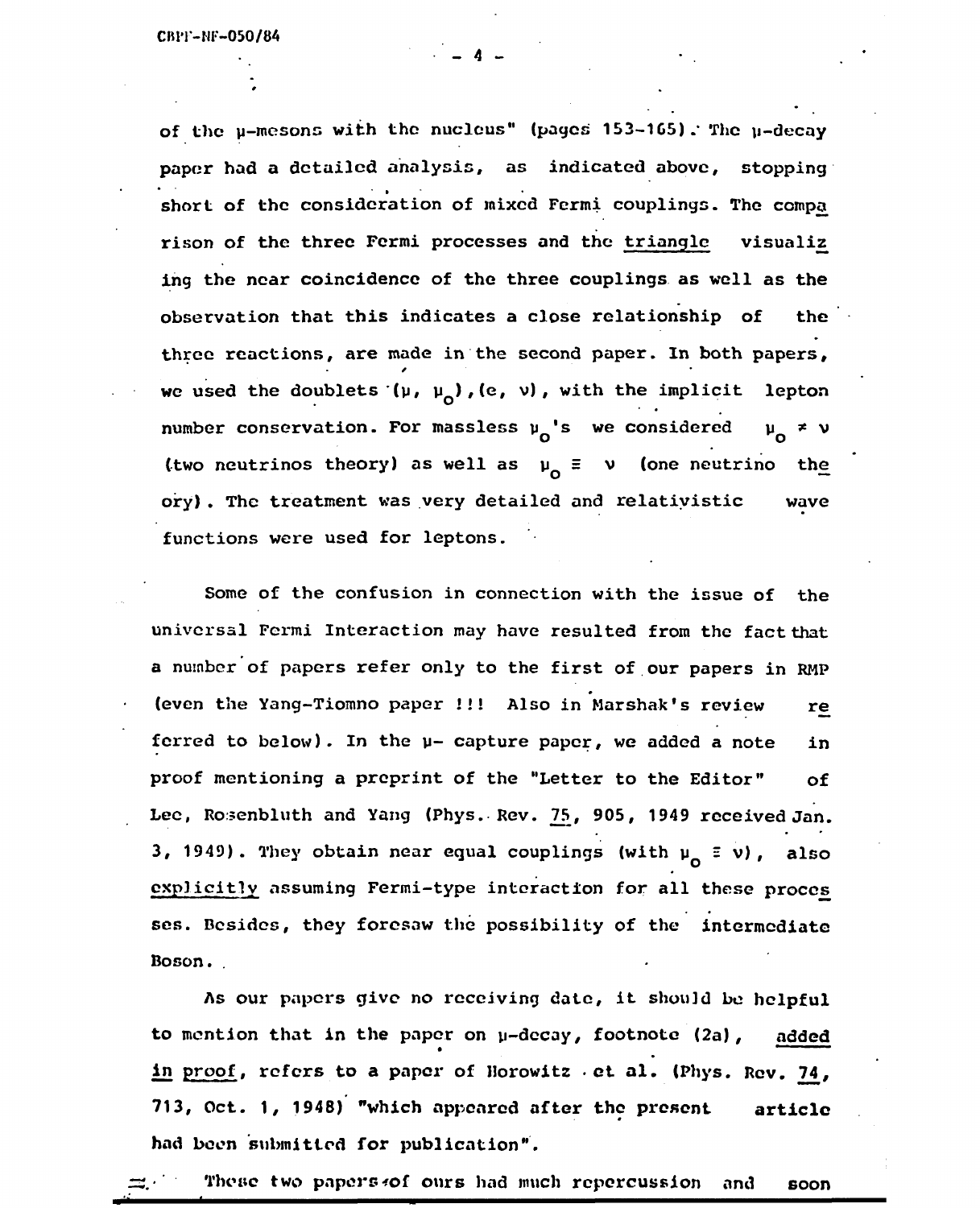of the u-mesons with the nucleus" (pages 153-165). The u-decay paper had a detailed analysis, as indicated above, stopping short of the consideration of mixed Fermi couplings. The compa rison of the three Fermi processes and the triangle visualiz ing the near coincidence of the three couplings as well as the observation that this indicates a close relationship of the three reactions, are made in the second paper. In both papers, we used the doublets  $(\mu, \mu_0)$ , (e, v), with the implicit lepton number conservation. For massless  $\mu_n$ 's we considered  $\mu_n \neq \nu$ (two neutrinos theory) as well as  $\mu_0 \equiv \nu$  (one neutrino the  $\sim$  two neutrinos theory) as well as  $\sim$   $\sim$ wave ory) . The treatment was very detailed and relativistic waves very detailed and relativistic waves  $\alpha$ 

**' • - 4 -**

Some of the confusion in connection with the issue of the universal Fermi Interaction may have resulted from the fact that a number of papers refer only to the first of our papers in RMP (even the Yang-Tiomno paper !!! Also in Marshak's review re ferred to below). In the  $\mu$ - capture paper, we added a note in proof mentioning a preprint of the "Letter to the Editor" of Lee, Ro.senbluth and Yang (Phys. Rev. 75, 905, 1949 received Jan. 3, 1949). They obtain near equal couplings (with  $\mu_{0} \equiv \nu$ ), also explicitly assuming Fermi-type interaction for all these proccs ses. Besides, they foresaw the possibility of the intermediate Boson.

As our papers give no receiving date, it should be helpful to mention that in the paper on y-decay, footnote (2a), added in proof, refers to a paper of Horowitz . et al. (Phys. Rev. 74, 713, Oct. 1, 1948) "which appeared after the present **article** had boon submitted for publication".

These two papers#of ours had much repercussion and soon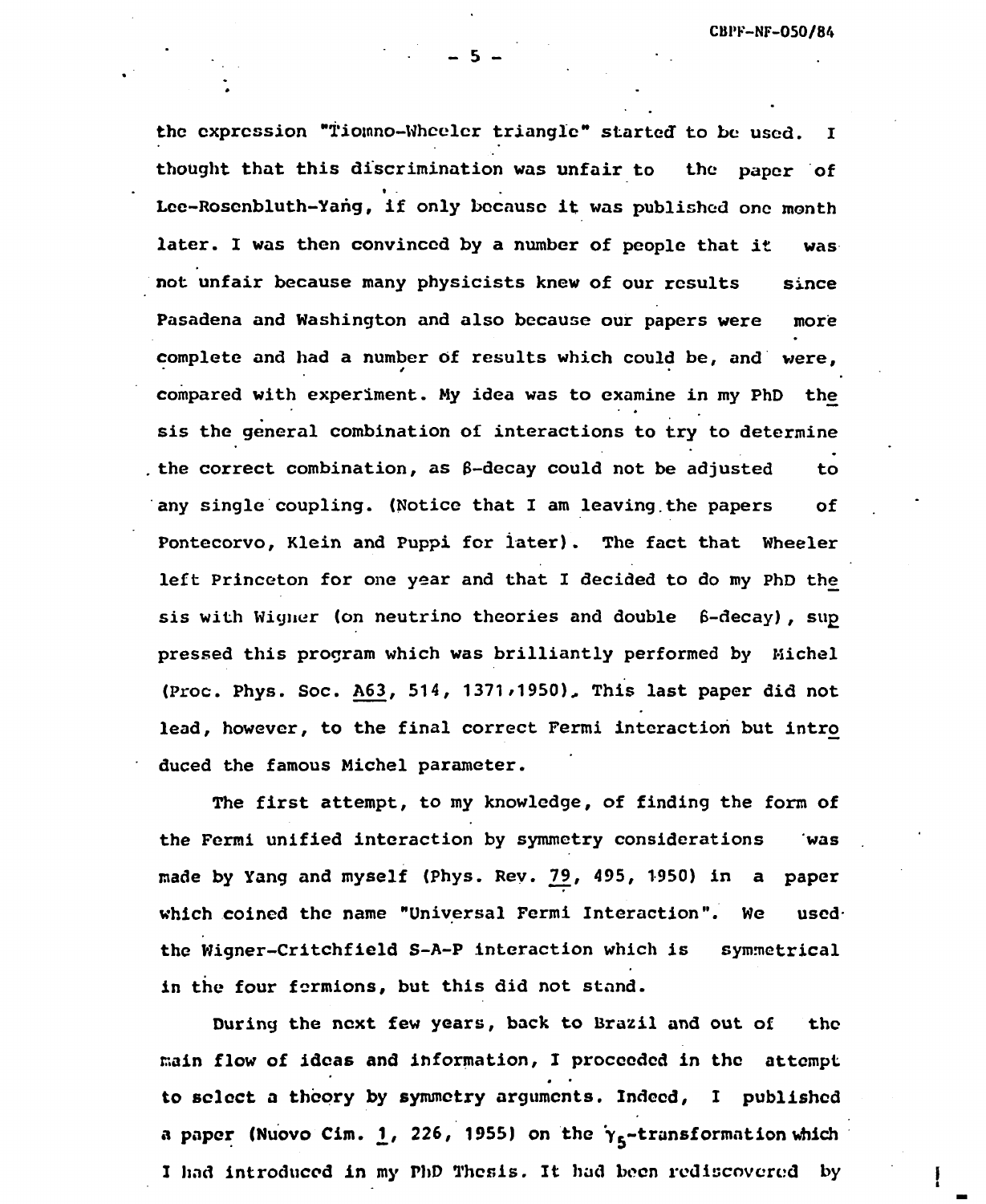**the expression "Tiomno-Whcelcr triangle\*\* started to be used. I thought that this discrimination was unfair to the paper of Lee-Rosenbluth-Yarig, if only because it was published one month later. I was then convinced by a number of people that it was not unfair because many physicists knew of our results since Pasadena and Washington and also because our papers were more complete and had a number of results which could be, and were, compared with experiment. My idea was to examine in my PhD the sis the general combination of interactions to try to determine** the correct combination, as  $\beta$ -decay could not be adjusted **•** any single coupling. (Notice that I am leaving the papers of Pontecorvo, Klein and Puppi for later). The fact that Wheeler left Princeton for one year and that I decided to do my PhD the sis with Wigner (on neutrino theories and double 6-decay), sup pressed this program which was brilliantly performed by Michel (Proc. Phys. Soc. A63, 514, 1371,1950), This last paper did not lead, however, to the final correct Fermi interaction but intro duced the famous Michel parameter.

The first attempt, to my knowledge, of finding the form of the Fermi unified interaction by symmetry considerations was made by Yang and myself (Phys. Rev. 79, 495, 1950) in a paper  *19S***<sup>** $\alpha$ **</sup>)**  $\alpha$ *is the self (Phys. Rev. 21'***)**  $\alpha$ *is the self (Phys. Rev. 21'***)**  $\alpha$ *is the self (Phys. Rev. 21'***)**  $\alpha$  **in a paper** the Wigner-Critchfield S-A-P interaction which is symmetrical in the four fermions, but this did not stand.

During the next few years, back to Brazil and out of the. main flow of ideas and information, I proceeded in the attempt to select a theory by symmetry arguments. Indeed, I published **a paper (Nuovo Cim. 1, 226, 1955) on the**  $\gamma_{5}$ **-transformation which** I had introduced in my PhD Thesis. It had been rediscovered by

**I had introduced in my PhD Thesis. It had boon rediscovered by**

**- 5 - '**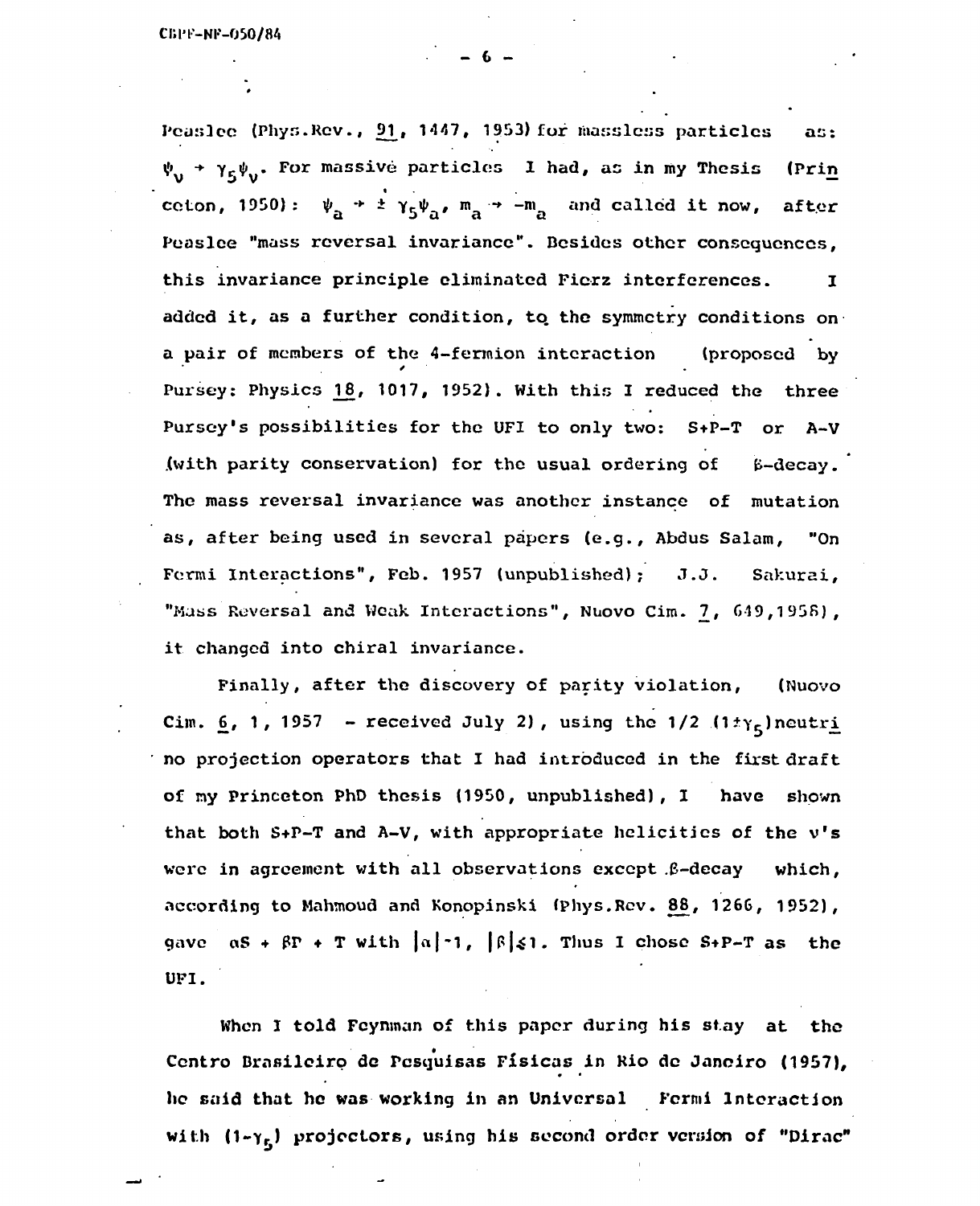Peaslee (Phys.Rev., 91, 1447, 1953) for massless particles as:  $\psi_{ij}$  +  $\gamma_{ij}\psi_{ij}$ . For massive particles I had, as in my Thesis (Prin ceton, 1950):  $\psi_{\alpha} + \psi_{\beta}$ ,  $\psi_{\alpha}$ ,  $\psi_{\alpha}$ ,  $\psi_{\alpha}$ , and called it now, after Peaslee "mass reversal invariance". Besides other consequences, Poaslee "mass reversal invariance". Besides other consequences,  $\mathbf{I}$ this invariance principle eliminated Fic-rz interferences. I added it, as a further condition, the symmetry condition, the symmetry condition, the symmetry conditions on  $\mathcal{L}_\text{c}$ a pair of members of the 4-fermion interaction (proposed by a pair of members of the 4-fermion interaction (proposed by  $\mathcal{A}$ Pursey: Physics 1\_8, 1017, 1952). With this I reduced the three Pursey's possibilities for the UFI to only two: S+P-T or A-V Pursey's possibilities for the UFI to only two: S+P-T or A-V (with parity conservation) for the usual ordering of 6-decay. . (with parity conservation) for the usual ordering ordering ordering ordering ordering of  $\mathcal{S}_\mathcal{A}$ The mass reversal invariance was another instance of mutation The mass reversal invariance was another instance of mutation  $\mathcal{C}$  mutation of  $\mathcal{C}$ as, after being used in several papers (e.g., Abdus Salam, "On as, after being used in several papers (e.g.,  $\alpha$  ) and  $\alpha$  abdus  $\alpha$  abdus  $\alpha$  abdus  $\alpha$  abdus  $\alpha$  abdus  $\alpha$ Fermi Interactions", Feb. 1957 (unpublished);  $J.J.$ Sakurai. Fermi Interactions", Feb. 1957 (unpublished); J.J. Sakurai, "Mass Reversal and Weak Interactions", Nuovo Cim. 1\_, G49,195S), it changed into chiral invariance. it changed into chiral invariance.

(Nuovo Finally, after the discovery of parity violation, (Nuovo  $\mathcal{L} = \mathcal{L} \mathcal{L}$  , the 1/2 state  $\mathcal{L} = \mathcal{L} \mathcal{L}$  , using the 1/2 .(1i) neutrining the 1/2 .(1i) neutrining the 1/2 .(1i) state  $\mathcal{L} = \mathcal{L} \mathcal{L}$ no projection operators that I had introduced in the first draft of ny Princeton PhD thesis (1950, unpublished), I have shown that both  $\mathcal{L}_\mathcal{D}$  and  $\mathcal{L}_\mathcal{D}$  and  $\mathcal{L}_\mathcal{D}$  and  $\mathcal{L}_\mathcal{D}$  are v's the v's the v's the v's the v's the v's the v's the v's the v's the v's the v's the v's the v's the v's the v's the v's the v's the were in agreement with all observations except .3-decay which, all observations except .3-decay which, and according to Mafcourt and Konopinski (phys.Rcv. 8jJ, 1266, 1266, 1266, 1266, 1267, 1266, 1267, 1266, 1266, 126<br>Rcv. 8jJ, 1266, 1267, 1267, 1267, 1267, 1267, 1267, 1277, 1287, 1297, 1297, 1297, 1297, 1297, 1297, 1297, 129  $\mathcal{L}_{\mathcal{A}}$  , provided by the state  $\mathcal{A}$  is the  $\mathcal{A}$  chose  $\mathcal{A}$  as the state  $\mathcal{A}$  as the state  $\mathcal{A}$ UFI.

When I told Feynman of this paper during his stay at the Centro Brasileiro de Pesquisas Físicas in Rio de Janeiro (1957), he said that he was working in an Universal Fermi Interaction with (1-y<sub>5</sub>) projectors, using his second order version of "Dirac"

**- 6 -**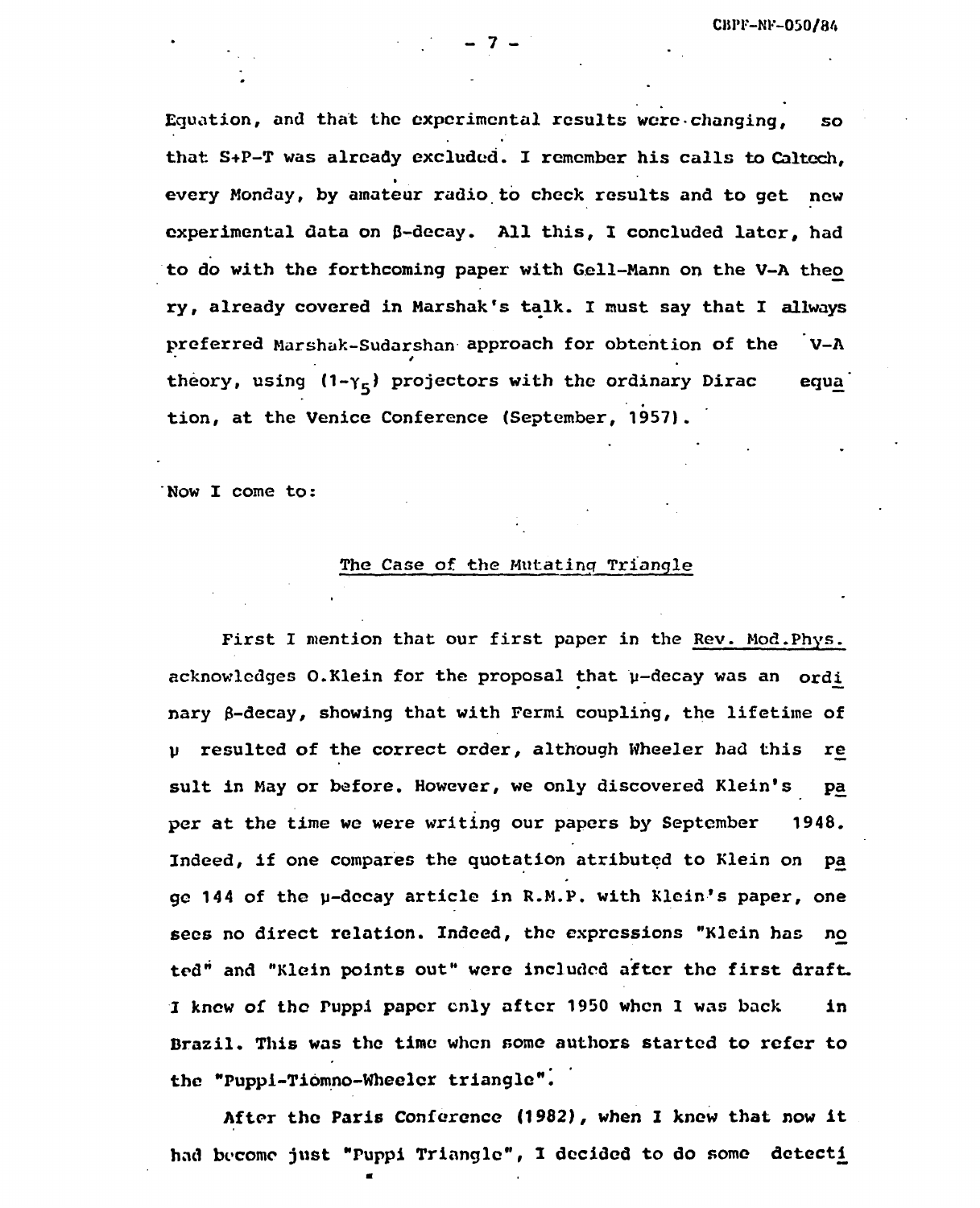Equation, and that the experimental results were-changing, so that S+P-T was already excluded. I remember his calls to Caltech, every Monday, by amateur radio to check results and to get new experimental data on  $\beta$ -decay. All this, I concluded later, had to do with the forthcoming paper with Gell-Mann on the V-A thec> ry, already covered in Marshak's talk. I must say that I allways preferred Marshak-Sudarshan approach for obtention of the V-A theory, using  $(1-\gamma_E)$  projectors with the ordinary Dirac equal tion, at the Venice Conference (September, 1957).

 $-7 -$ 

Now I come to:

## The Case of the Mutating Triangle

First I mention that our first paper in the Rev. Mod.Phys. acknowledges O.Klein for the proposal that u-decay was an ordi nary  $\beta$ -decay, showing that with Fermi coupling, the lifetime of V resulted of the correct order, although Wheeler had this res suit in May or before. However, we only discovered Klein's pa per at the time we were writing our papers by September 1948. Indeed, if one compares the quotation atributed to Klein on pa ge 144 of the u-decay article in R.M.P. with Klein's paper, one sees no direct relation. Indeed, the expressions "Klein has no ted" and "Klein points out" were included after the first draft. I knew of the Tuppi paper enly after 1950 when I was back in Brazil. This was the time when some authors started to refer to the "Puppi-Tiomno-Wheeler triangle".

After the Paris Conference (1982), when I knew that now it had become just "Puppi Triangle", I decided to do some detecti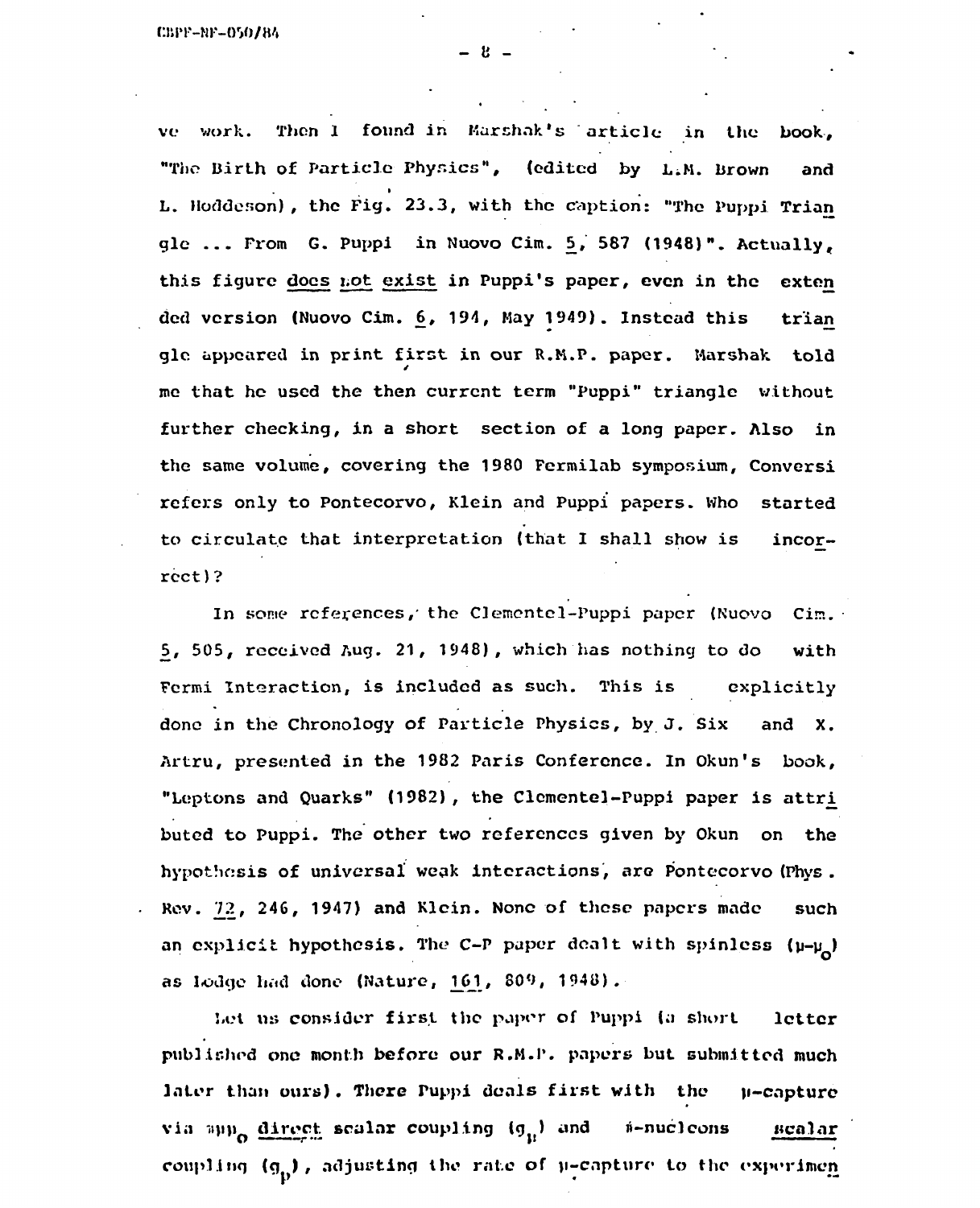ve work. Then 1 found in Marshak's article in the book, "The Birth of Particle Physics", (edited by L.M. Brown and L. Hoddcson), the Fig. 23.3, with the caption: "The Puppi Trian gle ... From G. Puppi in Nuovo Cim. 5, 587 (1948)". Actually, this figure docs t;ot exist in Puppi's paper, even in the exten ded version (Nuovo Cim. 6, 194, May 1949). Instead this trian gle appeared in print first in our R.M.P. paper. Marshak told me that he used the then current term "Puppi" triangle without further checking, in a short section of a long paper. Also in the same volume, covering the 1980 Fermilab symposium, Conversi refers only to Pontecorvo, Klein and Puppi papers. Who started to circulate that interpretation (that I shall show is incorrect)?

In some references, the Clementel-Puppi paper (Nuovo Cim. 5, 505, received Aug. 21, 1948), which has nothing to do with Fermi Interaction, is included as such. This is explicitly done in the Chronology of Particle Physics, by J. Six and X. Artru, presented in the 1982 Paris Conference. In Okun's book, "Leptons and Quarks" (1982), the Clemente]-Puppi paper is attri buted to Puppi. The other two references given by Okun on the hypothesis of universal weak interactions, are Pontecorvo (Phys. Rev. 72, 246, 1947) and Klein. None of these papers made such an explicit hypothesis. The C-P paper dealt with spinless  $(\mu-\mu)$ as lodge had done (Nature, 161, 809, 1948).

Let us consider first the paper of Puppi (a short letter published one month before our R.M.P. papers but submitted much lator than ours). There Puppi deals first with the p-capture via  $\sup_{\Omega}$  direct scalar coupling  $(g_{ij})$  and  $i$ -nucleons negalar coupling  $(g_{ij})$ , adjusting the rate of  $\mu$ -capture to the experimen

-li -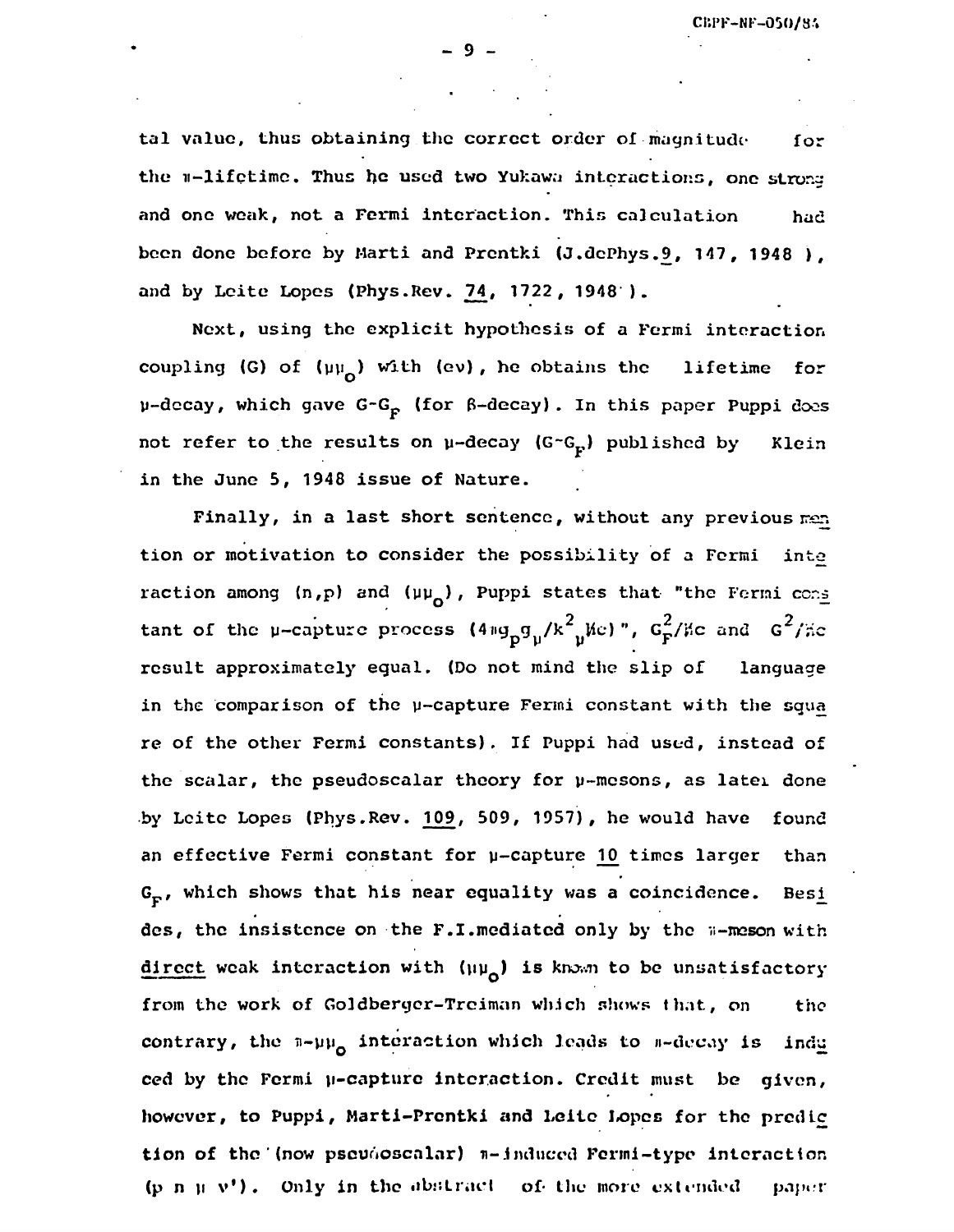tal value, thus obtaining the correct order of magnitude for the  $n-1$ ifctime. Thus he used two Yukawa interactions, one strong and one weak, not a Fermi interaction. This calculation had been done before by Marti and Prentki (J.dePhys.9, 147, 1948 ), and by Leite Lopes (Phys.Rev. 74, 1722, 1948 ).

Next, using the explicit hypothesis of a Fermi interaction coupling (G) of  $(\mu\mu_{\alpha})$  with (ev), he obtains the lifetime for  $\mu$ -decay, which gave G-G<sub>p</sub> (for  $\beta$ -decay). In this paper Puppi does not refer to the results on  $\mu$ -decay (G~G<sub>p</sub>) published by Klein in the June 5, 1948 issue of Nature.

Finally, in a last short sentence, without any previous men tion or motivation to consider the possibility of a Fermi into raction among  $(n,p)$  and  $(\mu\mu_{\alpha})$ , Puppi states that "the Fermi cens tant of the u-capture process (4ng  $g_{\mu}/k^2$   $\mu$ ke)",  $G_F^2/kc$  and  $G^2/kc$ result approximately equal. (Do not mind the slip of language in the comparison of the y-capture Fermi constant with the squa re of the other Fermi constants), If Puppi had used, instead of the scalar, the pseudoscalar theory for  $\mu$ -mesons, as latei done by Leite Lopes (Phys.Rev. 109, 509, 1957), he would have found an effective Fermi constant for  $\mu$ -capture 10 times larger than  $G_F$ , which shows that his near equality was a coincidence. Besi des, the insistence on the F.I.mediated only by the w-meson with direct weak interaction with  $(\mu\mu_{\alpha})$  is known to be unsatisfactory from the work of Goldberger-Treiman which shows that, on the contrary, the  $n-\mu\mu_0$  interaction which leads to  $n-\text{decay}$  is indu ced by the Fermi y-capturc interaction. Credit must be given, however, to Puppi, Marti-Prentki and Leite Lopes for the predic tion of the ' (now pseudoscalar) n-induced Fermi-type interaction (p n  $\mu$  v'). Only in the abstract of the more extended paper

- 9 -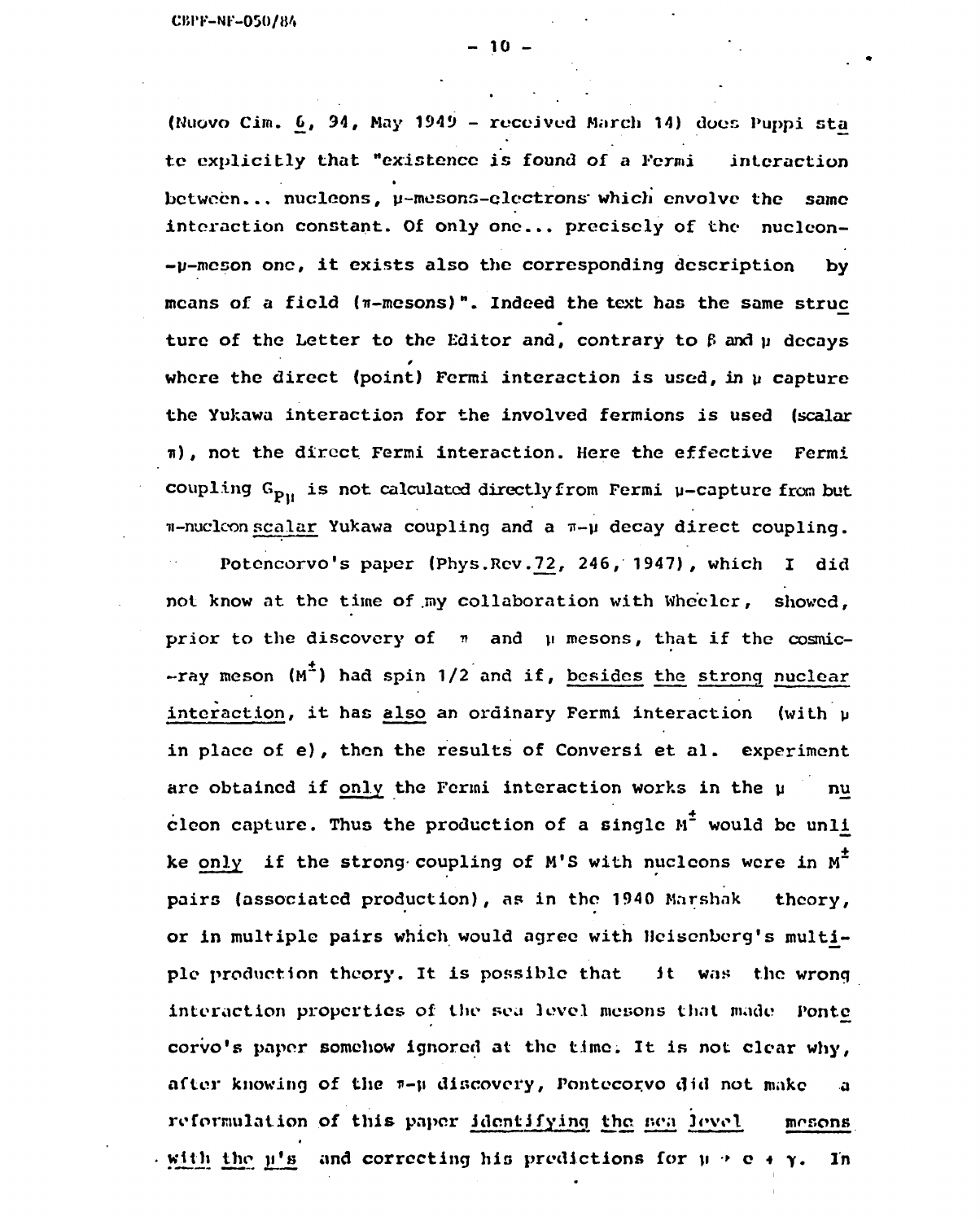(Nuovo Cim.  $6$ , 94, May 1949 - received March 14) does Puppi sta tc explicitly that "existence is found of a Fermi interaction between... nucleons, u-mosons-clectrons" which envolve the same interaction constant. Of only one... precisely of the nucleon- -p-meson one, it exists also the corresponding description by means of a field (n-mesons)". Indeed the text has the same struc ture of the Letter to the Editor and, contrary to  $\beta$  and  $\mu$  decays where the direct (point) Fermi interaction is used, in  $\nu$  capture the Yukawa interaction for the involved fermions is used (scalar  $\pi$ ), not the direct Fermi interaction. Here the effective Fermi coupling  $G_{p_1}$  is not calculated directly from Fermi  $p$ -capture from but •n-nuclcon scalar Yukawa coupling and a n-u decay direct coupling.

Potencorvo's paper (Phys.Rev.72, 246, 1947), which I did not know at the time of my collaboration with Wheeler, showed, prior to the discovery of  $\pi$  and  $\mu$  mesons, that if the cosmic- $-$ ray meson ( $M^2$ ) had spin 1/2 and if, besides the strong nuclear interaction, it has also an ordinary Fermi interaction (with  $\mu$ in place of e), then the results of Conversi et al. experiment are obtained if only the Fermi interaction works in the  $\mu$  nu cleon capture. Thus the production of a single  $M^{\pm}$  would be unli ke only if the strong coupling of M'S with nucleons were in  $M^2$ pairs (associated production), as in the 1940 Marshak theory, or in multiple pairs which would agree with Hciscnberg's multiple production theory. It is possible that it was the wrong interaction properties of the sea level mesons that made Ponte corvo's paper somehow ignored at the time. It is not clear why, after knowing of the  $T$ -µ discovery, Pontecorvo did not make a reformulation of this paper identifying the sea level mesons with the  $\mu$ 's and correcting his predictions for  $\mu \rightarrow e + \gamma$ . In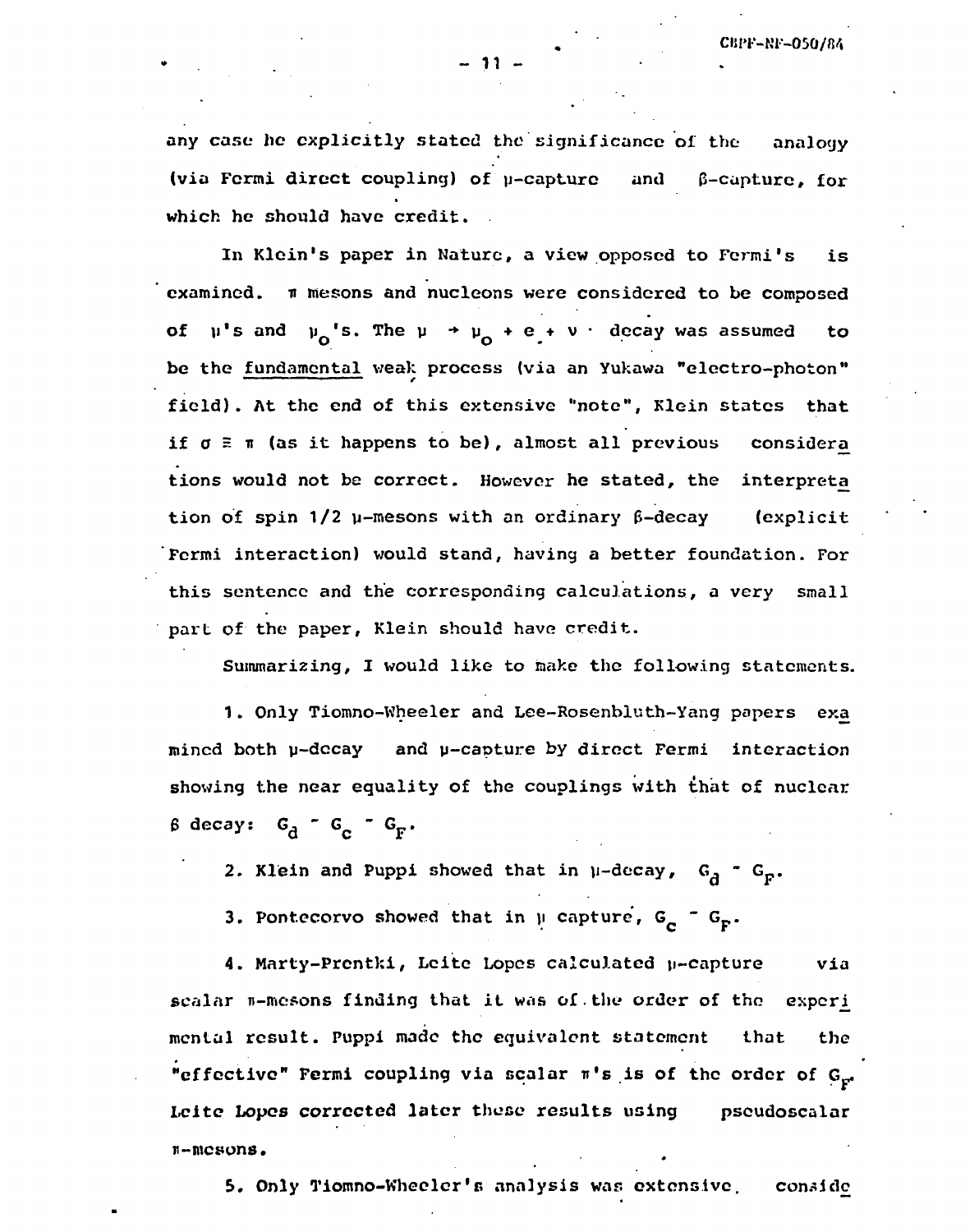any case bo explicitly stated the significance of the analogy (via Fermi direct coupling) of  $\mu$ -capture and  $\beta$ -capture, for which he should have credit.

In Klein's paper in Nature, a view opposed to Fermi's is examined. T mesons and nucleons were considered to be composed of  $\mu$ 's and  $\mu_0$ 's. The  $\mu \rightarrow \mu_0 + e + v$  · decay was assumed to be the fundamental weak process (via an Yukawa "electro-photon" field). At the end of this extensive "note", Klein states that if  $\sigma \equiv \pi$  (as it happens to be), almost all previous considera tions would not be correct. However he stated, the interpreta tion of spin  $1/2$  u-mesons with an ordinary  $\beta$ -decay (explicit Fermi interaction) would stand, having a better foundation. For this sentence and the corresponding calculations, a very small part of the paper, Klein should have credit.

Summarizing, I would like to inake the following statements.

1. Only Tiomno-Wheeler and Lee-Rosenbluth-Yang papers exa mined both  $\mu$ -decay and  $\mu$ -capture by direct Fermi interaction showing the near equality of the couplings with that of nuclear  $\beta$  decay:  $G_A \sim G_C \sim G_F$ .

2. Klein and Puppi showed that in  $\mu$ -decay,  $G_A = G_p$ .

3. Pontecorvo showed that in  $\mu$  capture,  $G_{\mu}$  =  $G_{\mu}$ .

4. Marty-Prentki, Leite Lopes calculated y-capture via scalar  $n$ -mesons finding that it was of the order of the experi mental result. Puppi made the equivalent statement that the "effective" Fermi coupling via scalar  $\pi$ 's is of the order of  $G_{\mathbf{F}'}$ Leite Lopes corrected later these results using pseudoscalar n-mesons.

5. Only Tiomno-Wheeler's analysis was extensive. conside